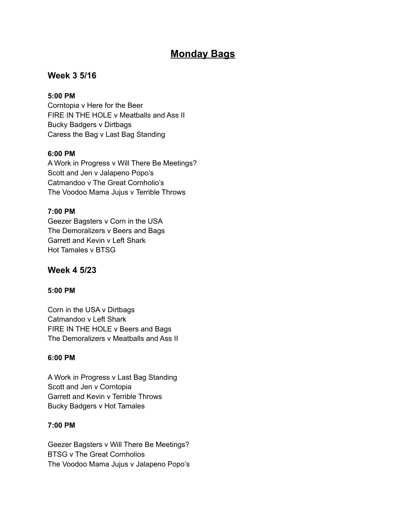# **Monday Bags**

## **Week 3 5/16**

#### **5:00 PM**

Corntopia v Here for the Beer FIRE IN THE HOLE v Meatballs and Ass II Bucky Badgers v Dirtbags Caress the Bag v Last Bag Standing

#### **6:00 PM**

A Work in Progress v Will There Be Meetings? Scott and Jen v Jalapeno Popo's Catmandoo v The Great Cornholio's The Voodoo Mama Jujus v Terrible Throws

#### **7:00 PM**

Geezer Bagsters v Corn in the USA The Demoralizers v Beers and Bags Garrett and Kevin v Left Shark Hot Tamales v BTSG

### **Week 4 5/23**

#### **5:00 PM**

Corn in the USA v Dirtbags Catmandoo v Left Shark FIRE IN THE HOLE v Beers and Bags The Demoralizers v Meatballs and Ass II

#### **6:00 PM**

A Work in Progress v Last Bag Standing Scott and Jen v Corntopia Garrett and Kevin v Terrible Throws Bucky Badgers v Hot Tamales

#### **7:00 PM**

Geezer Bagsters v Will There Be Meetings? BTSG v The Great Cornholios The Voodoo Mama Jujus v Jalapeno Popo's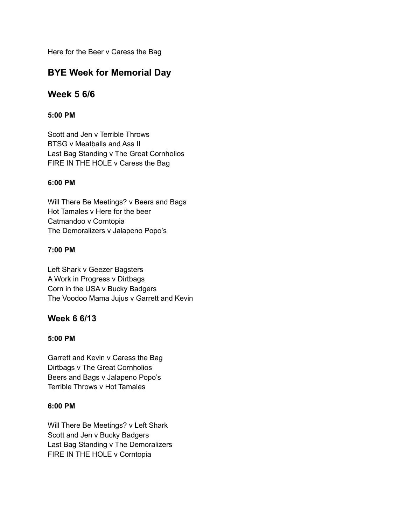Here for the Beer v Caress the Bag

# **BYE Week for Memorial Day**

# **Week 5 6/6**

### **5:00 PM**

Scott and Jen v Terrible Throws BTSG v Meatballs and Ass II Last Bag Standing v The Great Cornholios FIRE IN THE HOLE v Caress the Bag

#### **6:00 PM**

Will There Be Meetings? v Beers and Bags Hot Tamales v Here for the beer Catmandoo v Corntopia The Demoralizers v Jalapeno Popo's

#### **7:00 PM**

Left Shark v Geezer Bagsters A Work in Progress v Dirtbags Corn in the USA v Bucky Badgers The Voodoo Mama Jujus v Garrett and Kevin

## **Week 6 6/13**

#### **5:00 PM**

Garrett and Kevin v Caress the Bag Dirtbags v The Great Cornholios Beers and Bags v Jalapeno Popo's Terrible Throws v Hot Tamales

#### **6:00 PM**

Will There Be Meetings? v Left Shark Scott and Jen v Bucky Badgers Last Bag Standing v The Demoralizers FIRE IN THE HOLE v Corntopia